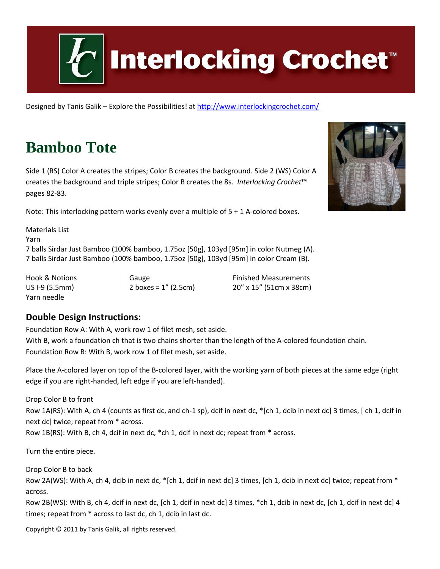

# **Interlocking Crochet™**

Designed by Tanis Galik – Explore the Possibilities! a[t http://www.interlockingcrochet.com/](http://www.interlockingcrochet.com/)

# **Bamboo Tote**

Side 1 (RS) Color A creates the stripes; Color B creates the background. Side 2 (WS) Color A creates the background and triple stripes; Color B creates the 8s. *Interlocking Crochet*™ pages 82-83.

Note: This interlocking pattern works evenly over a multiple of 5 + 1 A-colored boxes.

Materials List Yarn 7 balls Sirdar Just Bamboo (100% bamboo, 1.75oz [50g], 103yd [95m] in color Nutmeg (A). 7 balls Sirdar Just Bamboo (100% bamboo, 1.75oz [50g], 103yd [95m] in color Cream (B).

Hook & Notions **Finished Measurements** Gauge **Finished Measurements** US I-9 (5.5mm) 2 boxes = 1" (2.5cm) 20" x 15" (51cm x 38cm) Yarn needle

#### **Double Design Instructions:**

Foundation Row A: With A, work row 1 of filet mesh, set aside.

With B, work a foundation ch that is two chains shorter than the length of the A-colored foundation chain. Foundation Row B: With B, work row 1 of filet mesh, set aside.

Place the A-colored layer on top of the B-colored layer, with the working yarn of both pieces at the same edge (right edge if you are right-handed, left edge if you are left-handed).

Drop Color B to front

Row 1A(RS): With A, ch 4 (counts as first dc, and ch-1 sp), dcif in next dc, \*[ch 1, dcib in next dc] 3 times, [ ch 1, dcif in next dc] twice; repeat from \* across.

Row 1B(RS): With B, ch 4, dcif in next dc, \*ch 1, dcif in next dc; repeat from \* across.

Turn the entire piece.

Drop Color B to back

Row 2A(WS): With A, ch 4, dcib in next dc, \*[ch 1, dcif in next dc] 3 times, [ch 1, dcib in next dc] twice; repeat from \* across.

Row 2B(WS): With B, ch 4, dcif in next dc, [ch 1, dcif in next dc] 3 times, \*ch 1, dcib in next dc, [ch 1, dcif in next dc] 4 times; repeat from \* across to last dc, ch 1, dcib in last dc.

Copyright © 2011 by Tanis Galik, all rights reserved.

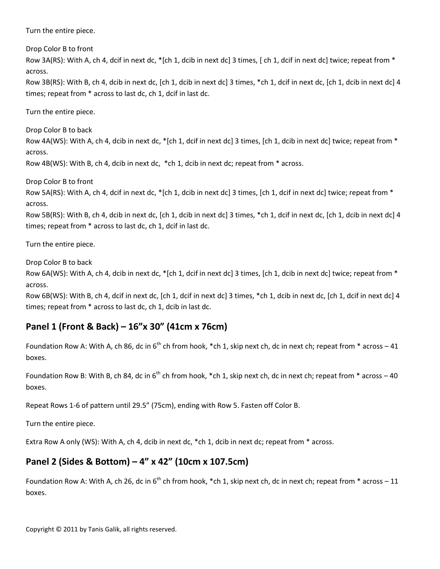Turn the entire piece.

Drop Color B to front

Row 3A(RS): With A, ch 4, dcif in next dc, \*[ch 1, dcib in next dc] 3 times, [ch 1, dcif in next dc] twice; repeat from \* across.

Row 3B(RS): With B, ch 4, dcib in next dc, [ch 1, dcib in next dc] 3 times, \*ch 1, dcif in next dc, [ch 1, dcib in next dc] 4 times; repeat from \* across to last dc, ch 1, dcif in last dc.

Turn the entire piece.

Drop Color B to back Row 4A(WS): With A, ch 4, dcib in next dc,  $*$ [ch 1, dcif in next dc] 3 times, [ch 1, dcib in next dc] twice; repeat from  $*$ across.

Row 4B(WS): With B, ch 4, dcib in next dc, \*ch 1, dcib in next dc; repeat from \* across.

Drop Color B to front

Row 5A(RS): With A, ch 4, dcif in next dc,  $*$ [ch 1, dcib in next dc] 3 times, [ch 1, dcif in next dc] twice; repeat from  $*$ across.

Row 5B(RS): With B, ch 4, dcib in next dc, [ch 1, dcib in next dc] 3 times, \*ch 1, dcif in next dc, [ch 1, dcib in next dc] 4 times; repeat from \* across to last dc, ch 1, dcif in last dc.

Turn the entire piece.

Drop Color B to back

Row 6A(WS): With A, ch 4, dcib in next dc, \*[ch 1, dcif in next dc] 3 times, [ch 1, dcib in next dc] twice; repeat from \* across.

Row 6B(WS): With B, ch 4, dcif in next dc, [ch 1, dcif in next dc] 3 times, \*ch 1, dcib in next dc, [ch 1, dcif in next dc] 4 times; repeat from \* across to last dc, ch 1, dcib in last dc.

#### **Panel 1 (Front & Back) – 16"x 30" (41cm x 76cm)**

Foundation Row A: With A, ch 86, dc in  $6^{th}$  ch from hook, \*ch 1, skip next ch, dc in next ch; repeat from \* across – 41 boxes.

Foundation Row B: With B, ch 84, dc in  $6^{th}$  ch from hook, \*ch 1, skip next ch, dc in next ch; repeat from \* across – 40 boxes.

Repeat Rows 1-6 of pattern until 29.5" (75cm), ending with Row 5. Fasten off Color B.

Turn the entire piece.

Extra Row A only (WS): With A, ch 4, dcib in next dc, \*ch 1, dcib in next dc; repeat from \* across.

## **Panel 2 (Sides & Bottom) – 4" x 42" (10cm x 107.5cm)**

Foundation Row A: With A, ch 26, dc in  $6^{th}$  ch from hook, \*ch 1, skip next ch, dc in next ch; repeat from \* across – 11 boxes.

Copyright © 2011 by Tanis Galik, all rights reserved.